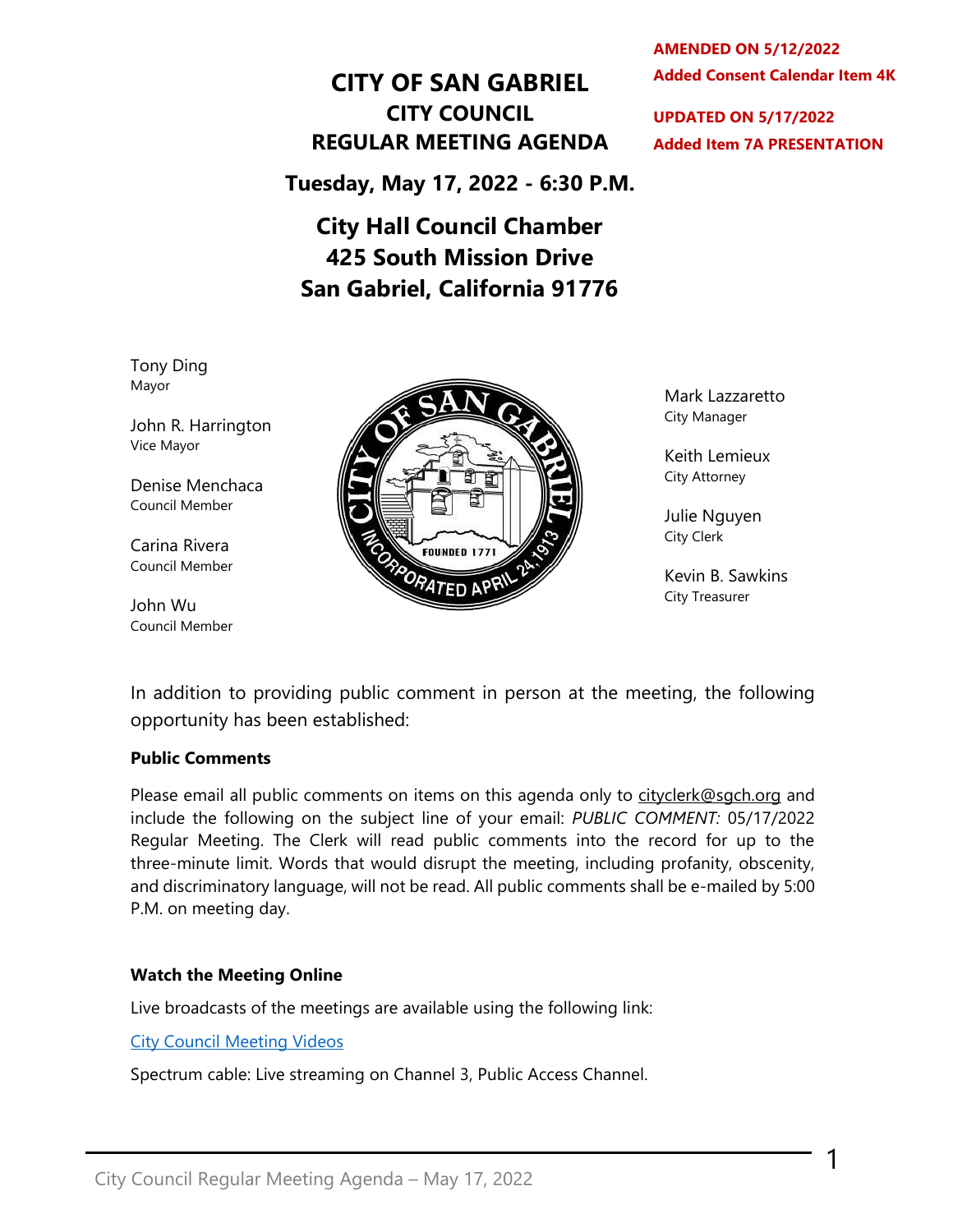# **CITY OF SAN GABRIEL CITY COUNCIL REGULAR MEETING AGENDA**

**Tuesday, May 17, 2022 - 6:30 P.M.**

# **City Hall Council Chamber 425 South Mission Drive San Gabriel, California 91776**

 **Added Consent Calendar Item 4K AMENDED ON 5/12/2022**

**UPDATED ON 5/17/2022 Added Item 7A PRESENTATION**

Tony Ding Mayor

John R. Harrington Vice Mayor

Denise Menchaca Council Member

Carina Rivera Council Member

John Wu Council Member



Mark Lazzaretto City Manager

Keith Lemieux City Attorney

Julie Nguyen City Clerk

Kevin B. Sawkins City Treasurer

1

In addition to providing public comment in person at the meeting, the following opportunity has been established:

#### **Public Comments**

Please email all public comments on items on this agenda only to [cityclerk@sgch.org](mailto:cityclerk@sgch.org) and include the following on the subject line of your email: *PUBLIC COMMENT:* 05/17/2022 Regular Meeting. The Clerk will read public comments into the record for up to the three-minute limit. Words that would disrupt the meeting, including profanity, obscenity, and discriminatory language, will not be read. All public comments shall be e-mailed by 5:00 P.M. on meeting day.

#### **Watch the Meeting Online**

Live broadcasts of the meetings are available using the following link:

[City Council Meeting Videos](https://www.youtube.com/CityofSanGabriel)

Spectrum cable: Live streaming on Channel 3, Public Access Channel.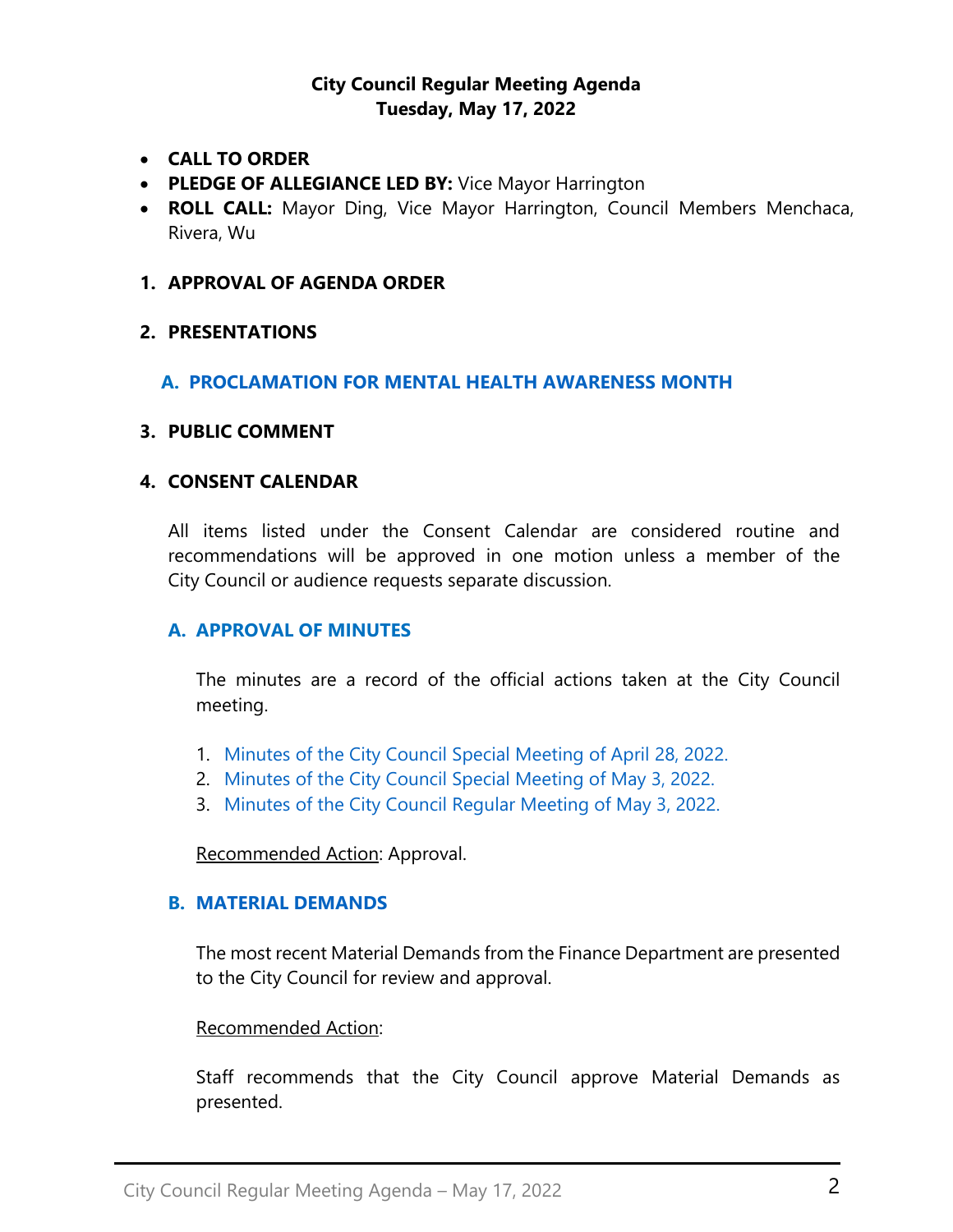### **City Council Regular Meeting Agenda Tuesday, May 17, 2022**

- **CALL TO ORDER**
- **PLEDGE OF ALLEGIANCE LED BY:** Vice Mayor Harrington
- **ROLL CALL:** Mayor Ding, Vice Mayor Harrington, Council Members Menchaca, Rivera, Wu

#### **1. APPROVAL OF AGENDA ORDER**

#### **2. PRESENTATIONS**

### **A. PROCLAMATION FOR [MENTAL HEALTH AWARENESS MONTH](https://www.sangabrielcity.com/DocumentCenter/View/16567/22---Proclamation-for-Mental-Health-Awareness-Month)**

#### **3. PUBLIC COMMENT**

### **4. CONSENT CALENDAR**

All items listed under the Consent Calendar are considered routine and recommendations will be approved in one motion unless a member of the City Council or audience requests separate discussion.

#### **A. APPROVAL OF MINUTES**

The minutes are a record of the official actions taken at the City Council meeting.

- 1. [Minutes of the City Council Special Meeting of April 28, 2022.](https://www.sangabrielcity.com/DocumentCenter/View/16565/Item-4A1---2022-04-28-Minutes---Special)
- 2. [Minutes of the City Council Special Meeting of May 3, 2022.](https://www.sangabrielcity.com/DocumentCenter/View/16563/Item-4A2---2022-05-03-Minutes---Special)
- 3. [Minutes of the City Council Regular Meeting of May 3, 2022.](https://www.sangabrielcity.com/DocumentCenter/View/16564/Item-4A3---2022-05-03-Minutes---Regular)

Recommended Action: Approval.

#### **B. [MATERIAL DEMANDS](https://www.sangabrielcity.com/DocumentCenter/View/16481/Item-4B---Material-Demands)**

The most recent Material Demands from the Finance Department are presented to the City Council for review and approval.

#### Recommended Action:

Staff recommends that the City Council approve Material Demands as presented.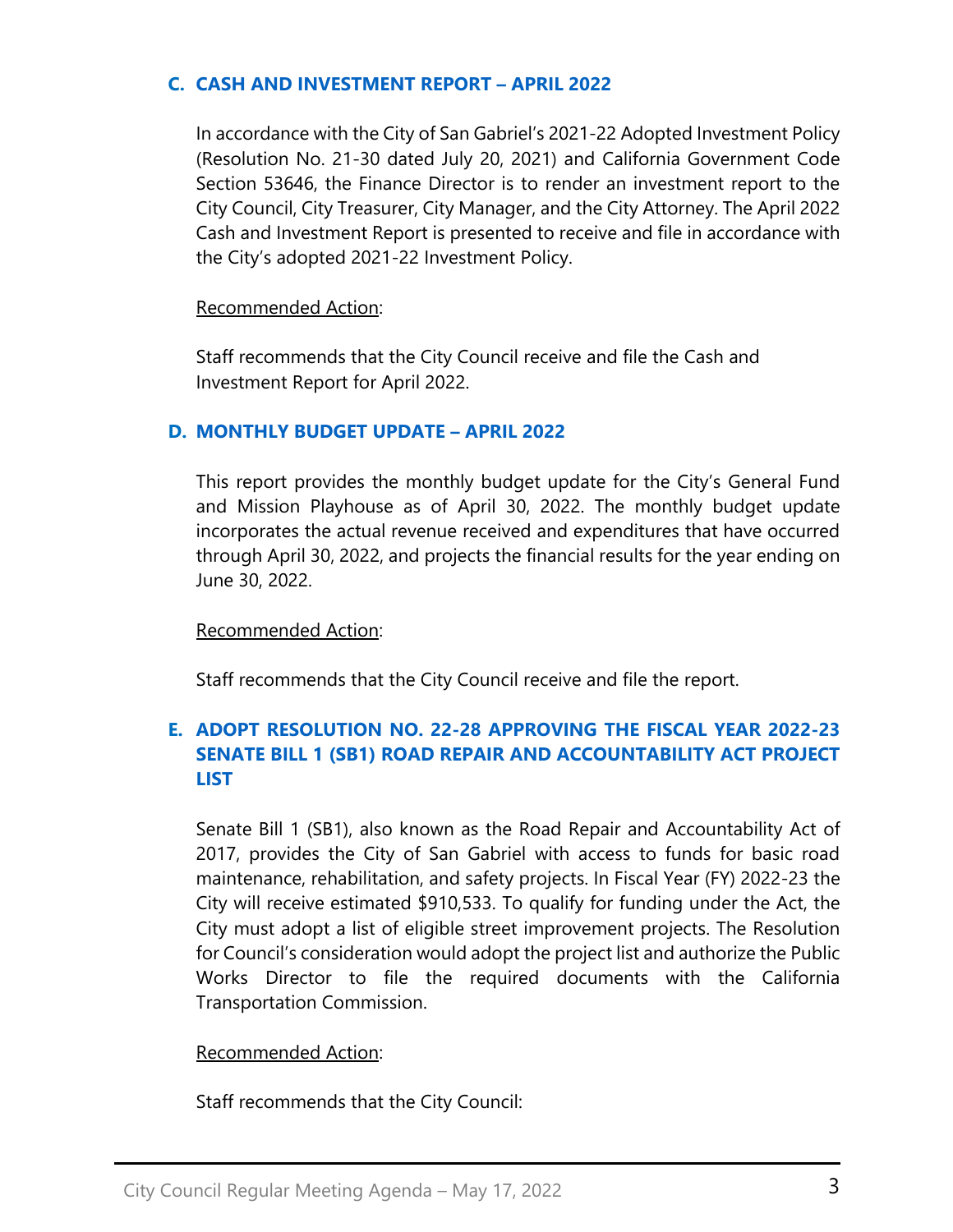### **C. [CASH AND INVESTMENT REPORT](https://www.sangabrielcity.com/DocumentCenter/View/16491/Item-4D---Fire-Station-51-Lockers-Replacement) – APRIL 2022**

In accordance with the City of San Gabriel's 2021-22 Adopted Investment Policy (Resolution No. 21-30 dated July 20, 2021) and California Government Code Section 53646, the Finance Director is to render an investment report to the City Council, City Treasurer, City Manager, and the City Attorney. The April 2022 Cash and Investment Report is presented to receive and file in accordance with the City's adopted 2021-22 Investment Policy.

#### Recommended Action:

Staff recommends that the City Council receive and file the Cash and Investment Report for April 2022.

### **D. [MONTHLY BUDGET UPDATE](https://www.sangabrielcity.com/DocumentCenter/View/16384/Item-4D---Monthly-Budget-Update---March-2022) – APRIL 2022**

This report provides the monthly budget update for the City's General Fund and Mission Playhouse as of April 30, 2022. The monthly budget update incorporates the actual revenue received and expenditures that have occurred through April 30, 2022, and projects the financial results for the year ending on June 30, 2022.

#### Recommended Action:

Staff recommends that the City Council receive and file the report.

# **E. [ADOPT RESOLUTION NO. 22-28 APPROVING THE FISCAL YEAR 2022-23](https://www.sangabrielcity.com/DocumentCenter/View/16549/Item-4F---Adopt-Reso-No-22-28-Approving-FY-2022-23-SB-1-Road-Repair-and-Accountability-Act-Project-List)  [SENATE BILL 1 \(SB1\) ROAD REPAIR AND ACCOUNTABILITY ACT PROJECT](https://www.sangabrielcity.com/DocumentCenter/View/16549/Item-4F---Adopt-Reso-No-22-28-Approving-FY-2022-23-SB-1-Road-Repair-and-Accountability-Act-Project-List)  [LIST](https://www.sangabrielcity.com/DocumentCenter/View/16549/Item-4F---Adopt-Reso-No-22-28-Approving-FY-2022-23-SB-1-Road-Repair-and-Accountability-Act-Project-List)**

Senate Bill 1 (SB1), also known as the Road Repair and Accountability Act of 2017, provides the City of San Gabriel with access to funds for basic road maintenance, rehabilitation, and safety projects. In Fiscal Year (FY) 2022-23 the City will receive estimated \$910,533. To qualify for funding under the Act, the City must adopt a list of eligible street improvement projects. The Resolution for Council's consideration would adopt the project list and authorize the Public Works Director to file the required documents with the California Transportation Commission.

### Recommended Action:

Staff recommends that the City Council: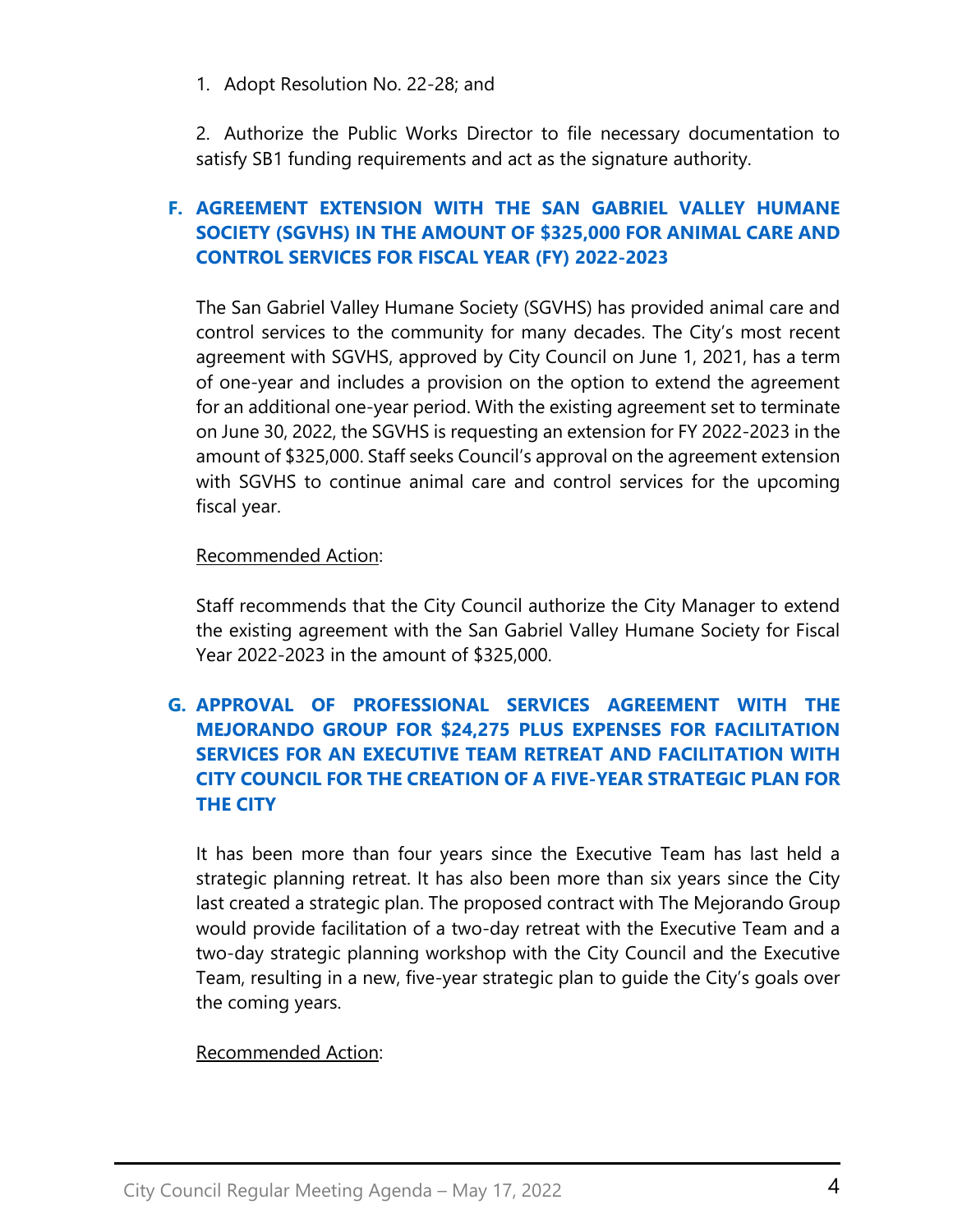1. Adopt Resolution No. 22-28; and

2. Authorize the Public Works Director to file necessary documentation to satisfy SB1 funding requirements and act as the signature authority.

# **F. [AGREEMENT EXTENSION WITH THE SAN GABRIEL VALLEY HUMANE](https://www.sangabrielcity.com/DocumentCenter/View/16550/Item-4G---Agreement-Extension-with-SGV-Humane-Society)  [SOCIETY \(SGVHS\) IN THE AMOUNT OF \\$325,000 FOR ANIMAL CARE AND](https://www.sangabrielcity.com/DocumentCenter/View/16550/Item-4G---Agreement-Extension-with-SGV-Humane-Society)  [CONTROL SERVICES FOR FISCAL YEAR \(FY\) 2022-2023](https://www.sangabrielcity.com/DocumentCenter/View/16550/Item-4G---Agreement-Extension-with-SGV-Humane-Society)**

The San Gabriel Valley Humane Society (SGVHS) has provided animal care and control services to the community for many decades. The City's most recent agreement with SGVHS, approved by City Council on June 1, 2021, has a term of one-year and includes a provision on the option to extend the agreement for an additional one-year period. With the existing agreement set to terminate on June 30, 2022, the SGVHS is requesting an extension for FY 2022-2023 in the amount of \$325,000. Staff seeks Council's approval on the agreement extension with SGVHS to continue animal care and control services for the upcoming fiscal year.

### Recommended Action:

Staff recommends that the City Council authorize the City Manager to extend the existing agreement with the San Gabriel Valley Humane Society for Fiscal Year 2022-2023 in the amount of \$325,000.

# **G. [APPROVAL OF PROFESSIONAL SERVICES AGREEMENT WITH THE](https://www.sangabrielcity.com/DocumentCenter/View/16551/Item-4H---Approval-of-PSA-with-The-Mejorando-Group)  [MEJORANDO GROUP FOR \\$24,275 PLUS EXPENSES FOR FACILITATION](https://www.sangabrielcity.com/DocumentCenter/View/16551/Item-4H---Approval-of-PSA-with-The-Mejorando-Group)  [SERVICES FOR AN EXECUTIVE TEAM RETREAT AND FACILITATION](https://www.sangabrielcity.com/DocumentCenter/View/16551/Item-4H---Approval-of-PSA-with-The-Mejorando-Group) WITH [CITY COUNCIL FOR THE CREATION OF A FIVE-YEAR STRATEGIC PLAN FOR](https://www.sangabrielcity.com/DocumentCenter/View/16551/Item-4H---Approval-of-PSA-with-The-Mejorando-Group)  [THE CITY](https://www.sangabrielcity.com/DocumentCenter/View/16551/Item-4H---Approval-of-PSA-with-The-Mejorando-Group)**

It has been more than four years since the Executive Team has last held a strategic planning retreat. It has also been more than six years since the City last created a strategic plan. The proposed contract with The Mejorando Group would provide facilitation of a two-day retreat with the Executive Team and a two-day strategic planning workshop with the City Council and the Executive Team, resulting in a new, five-year strategic plan to guide the City's goals over the coming years.

### Recommended Action: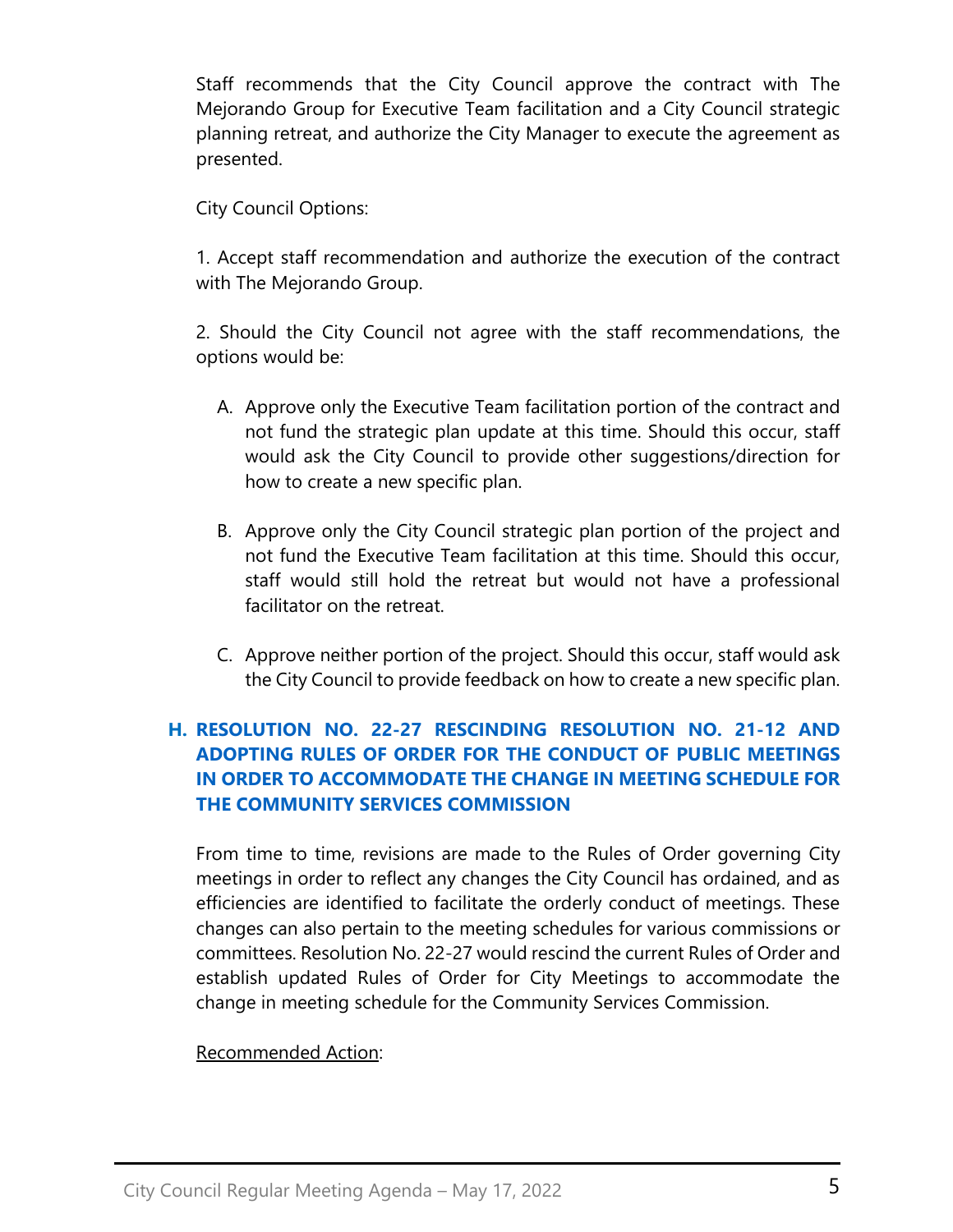Staff recommends that the City Council approve the contract with The Mejorando Group for Executive Team facilitation and a City Council strategic planning retreat, and authorize the City Manager to execute the agreement as presented.

City Council Options:

1. Accept staff recommendation and authorize the execution of the contract with The Mejorando Group.

2. Should the City Council not agree with the staff recommendations, the options would be:

- A. Approve only the Executive Team facilitation portion of the contract and not fund the strategic plan update at this time. Should this occur, staff would ask the City Council to provide other suggestions/direction for how to create a new specific plan.
- B. Approve only the City Council strategic plan portion of the project and not fund the Executive Team facilitation at this time. Should this occur, staff would still hold the retreat but would not have a professional facilitator on the retreat.
- C. Approve neither portion of the project. Should this occur, staff would ask the City Council to provide feedback on how to create a new specific plan.

# **H. [RESOLUTION NO. 22-27 RESCINDING RESOLUTION NO. 21-12 AND](https://www.sangabrielcity.com/DocumentCenter/View/16552/Item-4I---Reso-22-27-Adopting-Rules-of-Order-for-Conduct-of-Public-Meetings-and-Meeting-Schedule-for-Community-Services-Commission)  [ADOPTING RULES OF ORDER FOR THE CONDUCT OF PUBLIC MEETINGS](https://www.sangabrielcity.com/DocumentCenter/View/16552/Item-4I---Reso-22-27-Adopting-Rules-of-Order-for-Conduct-of-Public-Meetings-and-Meeting-Schedule-for-Community-Services-Commission)  [IN ORDER TO ACCOMMODATE THE CHANGE IN MEETING SCHEDULE FOR](https://www.sangabrielcity.com/DocumentCenter/View/16552/Item-4I---Reso-22-27-Adopting-Rules-of-Order-for-Conduct-of-Public-Meetings-and-Meeting-Schedule-for-Community-Services-Commission)  [THE COMMUNITY SERVICES COMMISSION](https://www.sangabrielcity.com/DocumentCenter/View/16552/Item-4I---Reso-22-27-Adopting-Rules-of-Order-for-Conduct-of-Public-Meetings-and-Meeting-Schedule-for-Community-Services-Commission)**

From time to time, revisions are made to the Rules of Order governing City meetings in order to reflect any changes the City Council has ordained, and as efficiencies are identified to facilitate the orderly conduct of meetings. These changes can also pertain to the meeting schedules for various commissions or committees. Resolution No. 22-27 would rescind the current Rules of Order and establish updated Rules of Order for City Meetings to accommodate the change in meeting schedule for the Community Services Commission.

### Recommended Action: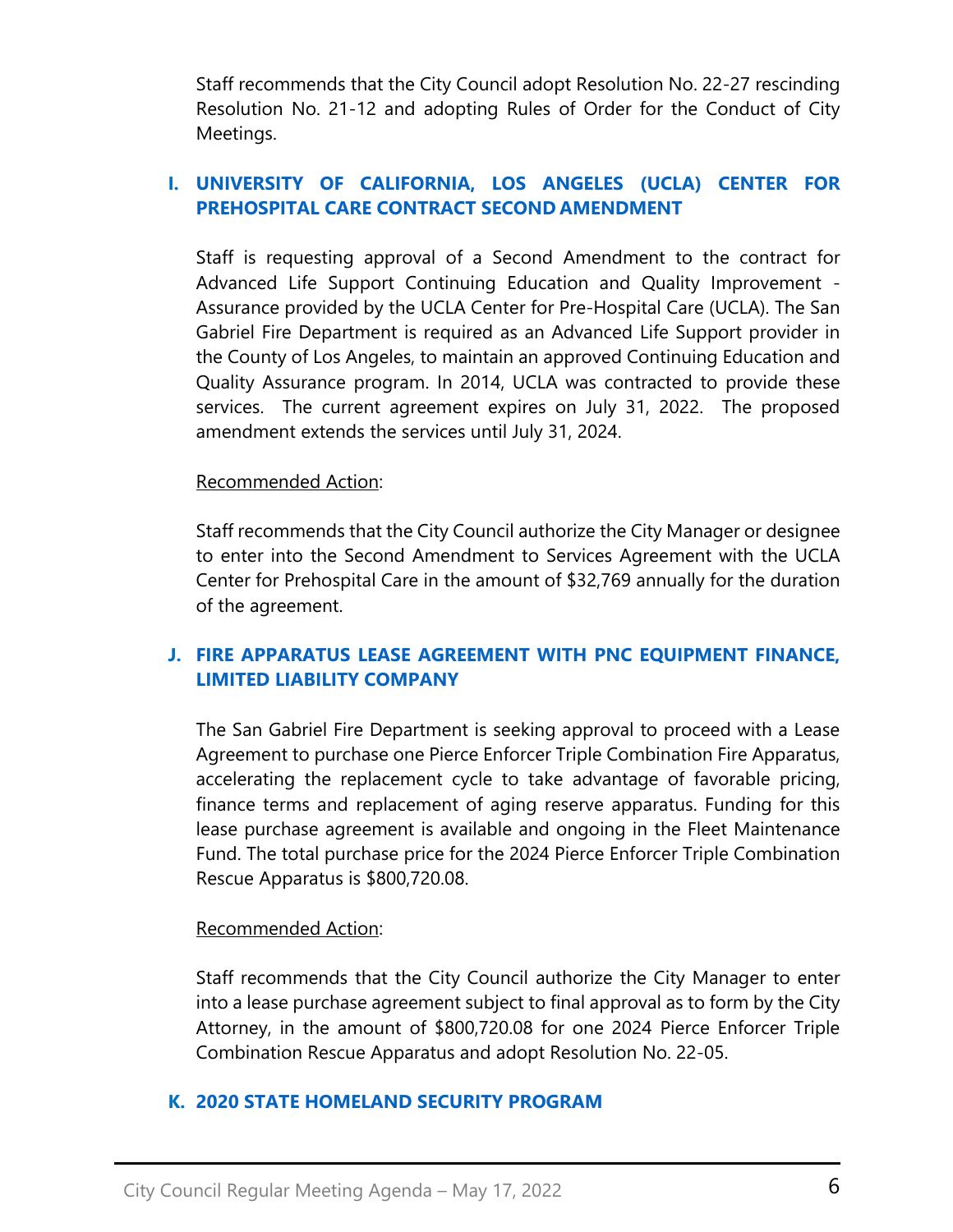Staff recommends that the City Council adopt Resolution No. 22-27 rescinding Resolution No. 21-12 and adopting Rules of Order for the Conduct of City Meetings.

# **I. [UNIVERSITY OF CALIFORNIA, LOS ANGELES](https://www.sangabrielcity.com/DocumentCenter/View/16553/item-4J---University-of-California-Los-Angeles-Center-for-Prehospital-Care-Contract-Second-Amendment) (UCLA) CENTER FOR [PREHOSPITAL CARE CONTRACT SECOND](https://www.sangabrielcity.com/DocumentCenter/View/16553/item-4J---University-of-California-Los-Angeles-Center-for-Prehospital-Care-Contract-Second-Amendment) AMENDMENT**

Staff is requesting approval of a Second Amendment to the contract for Advanced Life Support Continuing Education and Quality Improvement - Assurance provided by the UCLA Center for Pre-Hospital Care (UCLA). The San Gabriel Fire Department is required as an Advanced Life Support provider in the County of Los Angeles, to maintain an approved Continuing Education and Quality Assurance program. In 2014, UCLA was contracted to provide these services. The current agreement expires on July 31, 2022. The proposed amendment extends the services until July 31, 2024.

### Recommended Action:

Staff recommends that the City Council authorize the City Manager or designee to enter into the Second Amendment to Services Agreement with the UCLA Center for Prehospital Care in the amount of \$32,769 annually for the duration of the agreement.

# **J. [FIRE APPARATUS LEASE AGREEMENT WITH PNC EQUIPMENT FINANCE,](https://www.sangabrielcity.com/DocumentCenter/View/16554/Item-4K---Fire-Apparatus-Lease-Agreement-with-PNG-Equipment-Finance-LLC)  [LIMITED LIABILITY COMPANY](https://www.sangabrielcity.com/DocumentCenter/View/16554/Item-4K---Fire-Apparatus-Lease-Agreement-with-PNG-Equipment-Finance-LLC)**

The San Gabriel Fire Department is seeking approval to proceed with a Lease Agreement to purchase one Pierce Enforcer Triple Combination Fire Apparatus, accelerating the replacement cycle to take advantage of favorable pricing, finance terms and replacement of aging reserve apparatus. Funding for this lease purchase agreement is available and ongoing in the Fleet Maintenance Fund. The total purchase price for the 2024 Pierce Enforcer Triple Combination Rescue Apparatus is \$800,720.08.

### Recommended Action:

Staff recommends that the City Council authorize the City Manager to enter into a lease purchase agreement subject to final approval as to form by the City Attorney, in the amount of \$800,720.08 for one 2024 Pierce Enforcer Triple Combination Rescue Apparatus and adopt Resolution No. 22-05.

### **K. [2020 STATE HOMELAND SECURITY PROGRAM](https://www.sangabrielcity.com/DocumentCenter/View/16570/Item-4K---2020-State-Homeland-Security-Program---Optimized)**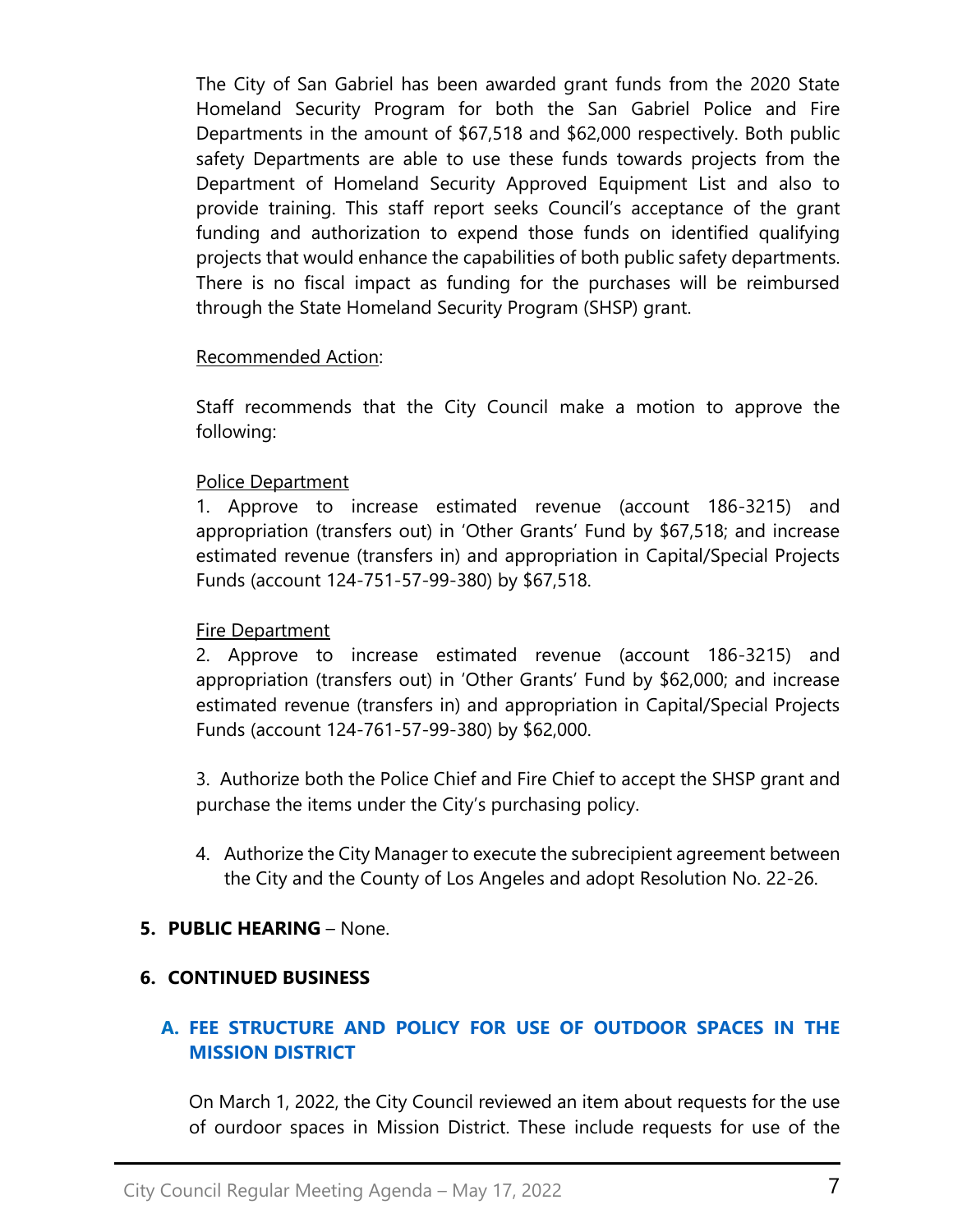The City of San Gabriel has been awarded grant funds from the 2020 State Homeland Security Program for both the San Gabriel Police and Fire Departments in the amount of \$67,518 and \$62,000 respectively. Both public safety Departments are able to use these funds towards projects from the Department of Homeland Security Approved Equipment List and also to provide training. This staff report seeks Council's acceptance of the grant funding and authorization to expend those funds on identified qualifying projects that would enhance the capabilities of both public safety departments. There is no fiscal impact as funding for the purchases will be reimbursed through the State Homeland Security Program (SHSP) grant.

### Recommended Action:

Staff recommends that the City Council make a motion to approve the following:

## Police Department

1. Approve to increase estimated revenue (account 186-3215) and appropriation (transfers out) in 'Other Grants' Fund by \$67,518; and increase estimated revenue (transfers in) and appropriation in Capital/Special Projects Funds (account 124-751-57-99-380) by \$67,518.

### **Fire Department**

2. Approve to increase estimated revenue (account 186-3215) and appropriation (transfers out) in 'Other Grants' Fund by \$62,000; and increase estimated revenue (transfers in) and appropriation in Capital/Special Projects Funds (account 124-761-57-99-380) by \$62,000.

3. Authorize both the Police Chief and Fire Chief to accept the SHSP grant and purchase the items under the City's purchasing policy.

4. Authorize the City Manager to execute the subrecipient agreement between the City and the County of Los Angeles and adopt Resolution No. 22-26.

# **5. PUBLIC HEARING** – None.

### **6. CONTINUED BUSINESS**

# **A. [FEE STRUCTURE AND POLICY FOR USE OF OUTDOOR SPACES IN THE](https://www.sangabrielcity.com/DocumentCenter/View/16560/Item-6A---Fee-Structure-and-Policy-for-Use-of-Outdoor-Spaces-in-the-Mission-District)  [MISSION DISTRICT](https://www.sangabrielcity.com/DocumentCenter/View/16560/Item-6A---Fee-Structure-and-Policy-for-Use-of-Outdoor-Spaces-in-the-Mission-District)**

On March 1, 2022, the City Council reviewed an item about requests for the use of ourdoor spaces in Mission District. These include requests for use of the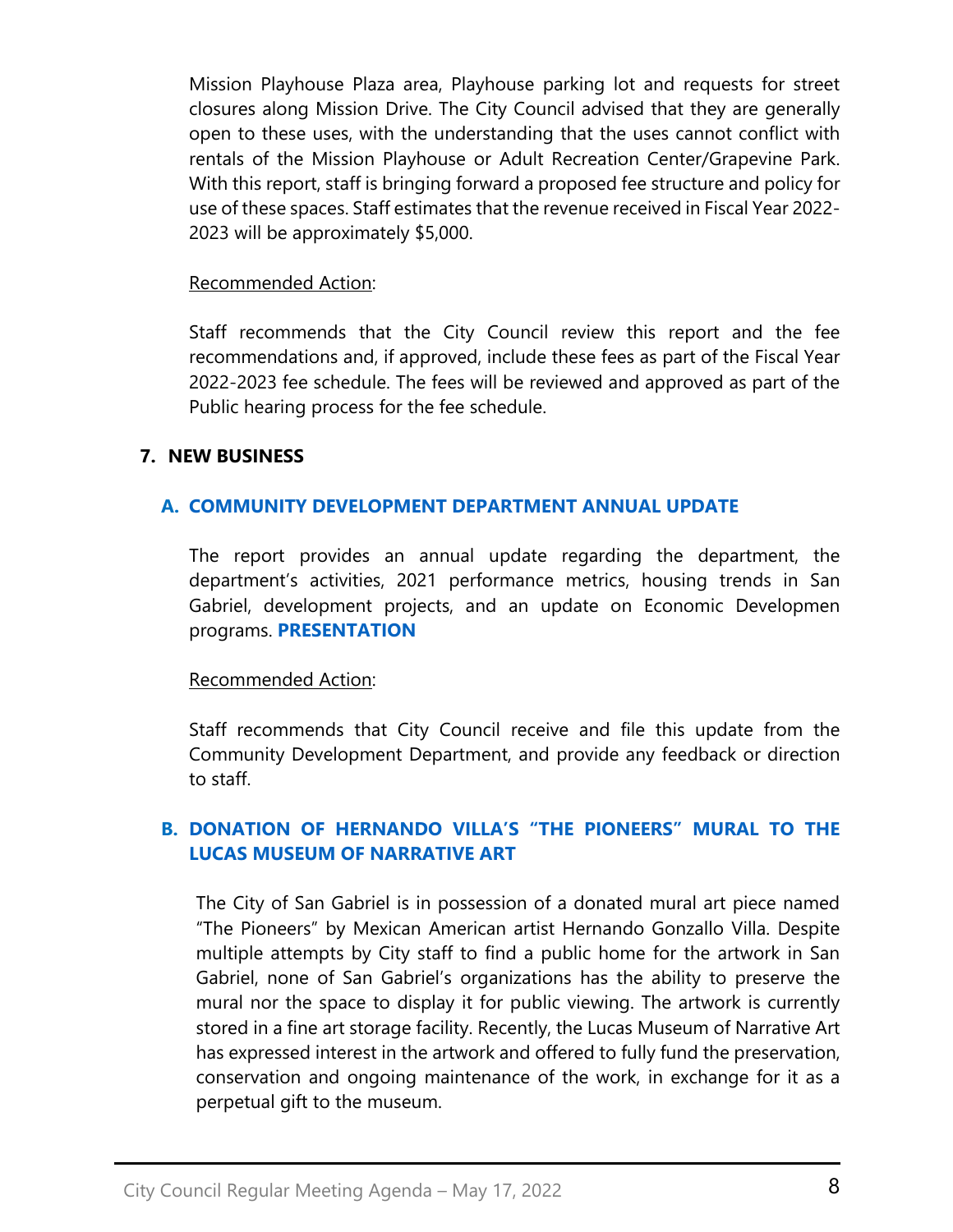Mission Playhouse Plaza area, Playhouse parking lot and requests for street closures along Mission Drive. The City Council advised that they are generally open to these uses, with the understanding that the uses cannot conflict with rentals of the Mission Playhouse or Adult Recreation Center/Grapevine Park. With this report, staff is bringing forward a proposed fee structure and policy for use of these spaces. Staff estimates that the revenue received in Fiscal Year 2022- 2023 will be approximately \$5,000.

#### Recommended Action:

Staff recommends that the City Council review this report and the fee recommendations and, if approved, include these fees as part of the Fiscal Year 2022-2023 fee schedule. The fees will be reviewed and approved as part of the Public hearing process for the fee schedule.

### **7. NEW BUSINESS**

### **A. [COMMUNITY DEVELOPMENT DEPARTMENT ANNUAL UPDATE](https://www.sangabrielcity.com/DocumentCenter/View/16566/Item-7A---Community-Development-Department-Annual-Update)**

The report provides an annual update regarding the department, the department's activities, 2021 performance metrics, housing trends in San Gabriel, development projects, and an update on Economic Developmen programs. **[PRESENTATION](https://www.sangabrielcity.com/DocumentCenter/View/16587/Final-CD-Department-Council-Overview-May-2022)**

#### Recommended Action:

Staff recommends that City Council receive and file this update from the Community Development Department, and provide any feedback or direction to staff.

## **B. DONATION OF [HERNANDO VILLA'S "THE PIONEERS" MURAL TO THE](https://www.sangabrielcity.com/DocumentCenter/View/16555/Item-7B---Donation-of-Hernando-Villa-The-Pioneers-Mural)  [LUCAS MUSEUM OF NARRATIVE ART](https://www.sangabrielcity.com/DocumentCenter/View/16555/Item-7B---Donation-of-Hernando-Villa-The-Pioneers-Mural)**

The City of San Gabriel is in possession of a donated mural art piece named "The Pioneers" by Mexican American artist Hernando Gonzallo Villa. Despite multiple attempts by City staff to find a public home for the artwork in San Gabriel, none of San Gabriel's organizations has the ability to preserve the mural nor the space to display it for public viewing. The artwork is currently stored in a fine art storage facility. Recently, the Lucas Museum of Narrative Art has expressed interest in the artwork and offered to fully fund the preservation, conservation and ongoing maintenance of the work, in exchange for it as a perpetual gift to the museum.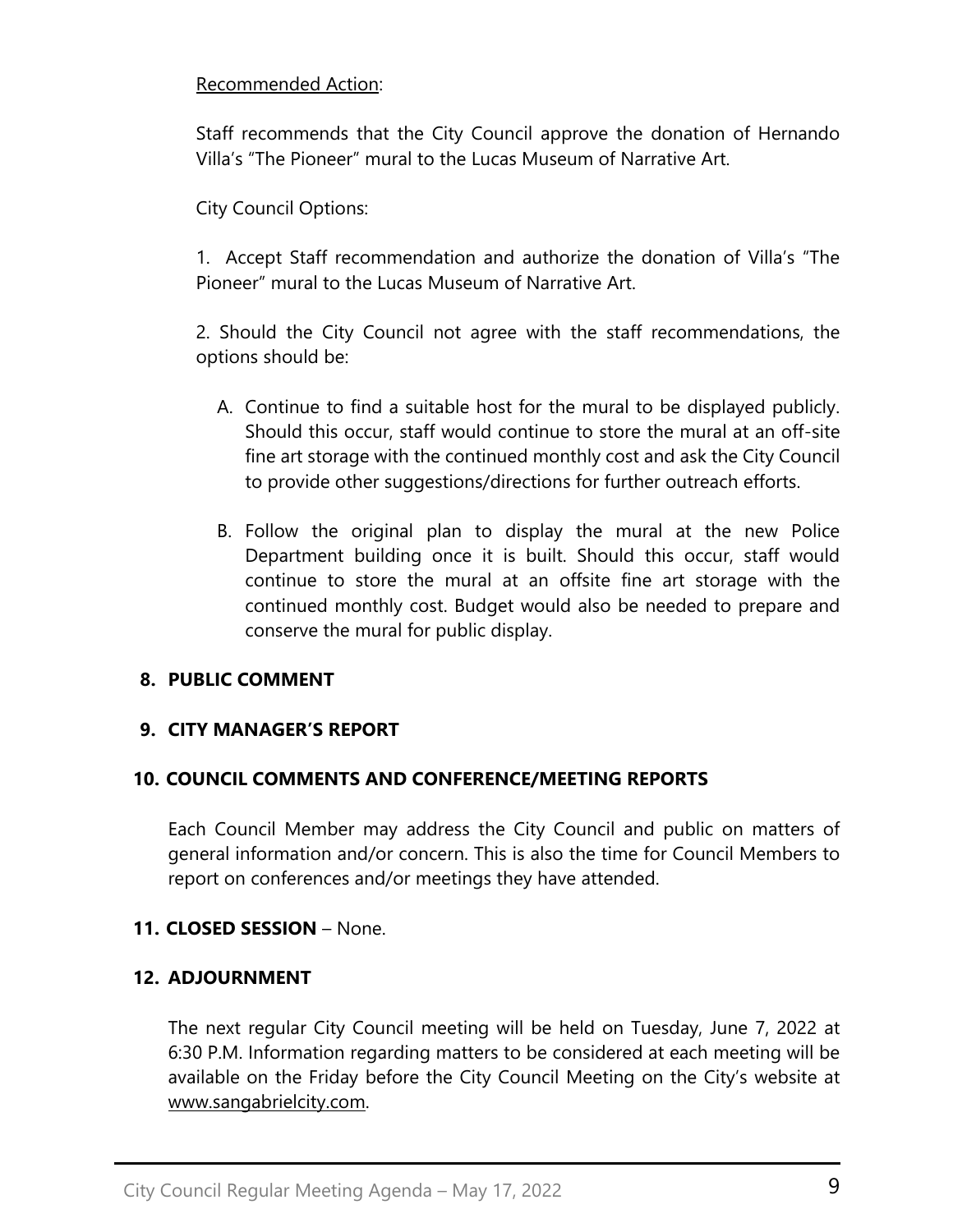### Recommended Action:

Staff recommends that the City Council approve the donation of Hernando Villa's "The Pioneer" mural to the Lucas Museum of Narrative Art.

City Council Options:

1. Accept Staff recommendation and authorize the donation of Villa's "The Pioneer" mural to the Lucas Museum of Narrative Art.

2. Should the City Council not agree with the staff recommendations, the options should be:

- A. Continue to find a suitable host for the mural to be displayed publicly. Should this occur, staff would continue to store the mural at an off-site fine art storage with the continued monthly cost and ask the City Council to provide other suggestions/directions for further outreach efforts.
- B. Follow the original plan to display the mural at the new Police Department building once it is built. Should this occur, staff would continue to store the mural at an offsite fine art storage with the continued monthly cost. Budget would also be needed to prepare and conserve the mural for public display.

# **8. PUBLIC COMMENT**

# **9. CITY MANAGER'S REPORT**

# **10. COUNCIL COMMENTS AND CONFERENCE/MEETING REPORTS**

Each Council Member may address the City Council and public on matters of general information and/or concern. This is also the time for Council Members to report on conferences and/or meetings they have attended.

# **11. CLOSED SESSION** – None.

# **12. ADJOURNMENT**

The next regular City Council meeting will be held on Tuesday, June 7, 2022 at 6:30 P.M. Information regarding matters to be considered at each meeting will be available on the Friday before the City Council Meeting on the City's website at [www.sangabrielcity.com.](http://www.sangabrielcity.com/)